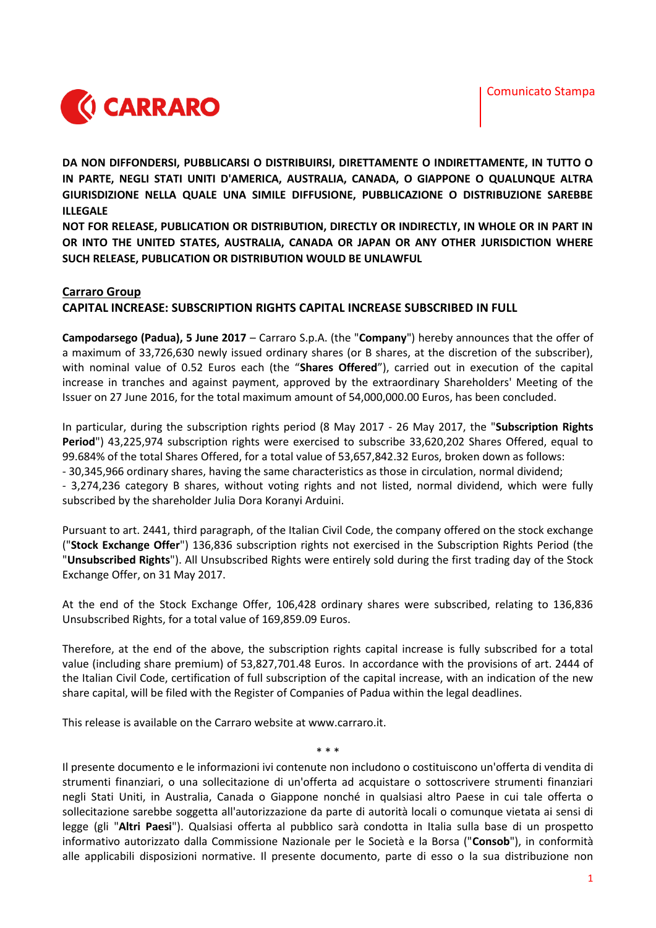

**DA NON DIFFONDERSI, PUBBLICARSI O DISTRIBUIRSI, DIRETTAMENTE O INDIRETTAMENTE, IN TUTTO O IN PARTE, NEGLI STATI UNITI D'AMERICA, AUSTRALIA, CANADA, O GIAPPONE O QUALUNQUE ALTRA GIURISDIZIONE NELLA QUALE UNA SIMILE DIFFUSIONE, PUBBLICAZIONE O DISTRIBUZIONE SAREBBE ILLEGALE**

**NOT FOR RELEASE, PUBLICATION OR DISTRIBUTION, DIRECTLY OR INDIRECTLY, IN WHOLE OR IN PART IN OR INTO THE UNITED STATES, AUSTRALIA, CANADA OR JAPAN OR ANY OTHER JURISDICTION WHERE SUCH RELEASE, PUBLICATION OR DISTRIBUTION WOULD BE UNLAWFUL**

## **Carraro Group**

**CAPITAL INCREASE: SUBSCRIPTION RIGHTS CAPITAL INCREASE SUBSCRIBED IN FULL**

**Campodarsego (Padua), 5 June 2017** – Carraro S.p.A. (the "**Company**") hereby announces that the offer of a maximum of 33,726,630 newly issued ordinary shares (or B shares, at the discretion of the subscriber), with nominal value of 0.52 Euros each (the "**Shares Offered**"), carried out in execution of the capital increase in tranches and against payment, approved by the extraordinary Shareholders' Meeting of the Issuer on 27 June 2016, for the total maximum amount of 54,000,000.00 Euros, has been concluded.

In particular, during the subscription rights period (8 May 2017 - 26 May 2017, the "**Subscription Rights Period**") 43,225,974 subscription rights were exercised to subscribe 33,620,202 Shares Offered, equal to 99.684% of the total Shares Offered, for a total value of 53,657,842.32 Euros, broken down as follows: - 30,345,966 ordinary shares, having the same characteristics as those in circulation, normal dividend; - 3,274,236 category B shares, without voting rights and not listed, normal dividend, which were fully subscribed by the shareholder Julia Dora Koranyi Arduini.

Pursuant to art. 2441, third paragraph, of the Italian Civil Code, the company offered on the stock exchange ("**Stock Exchange Offer**") 136,836 subscription rights not exercised in the Subscription Rights Period (the "**Unsubscribed Rights**"). All Unsubscribed Rights were entirely sold during the first trading day of the Stock Exchange Offer, on 31 May 2017.

At the end of the Stock Exchange Offer, 106,428 ordinary shares were subscribed, relating to 136,836 Unsubscribed Rights, for a total value of 169,859.09 Euros.

Therefore, at the end of the above, the subscription rights capital increase is fully subscribed for a total value (including share premium) of 53,827,701.48 Euros. In accordance with the provisions of art. 2444 of the Italian Civil Code, certification of full subscription of the capital increase, with an indication of the new share capital, will be filed with the Register of Companies of Padua within the legal deadlines.

This release is available on the Carraro website at www.carraro.it.

\* \* \*

Il presente documento e le informazioni ivi contenute non includono o costituiscono un'offerta di vendita di strumenti finanziari, o una sollecitazione di un'offerta ad acquistare o sottoscrivere strumenti finanziari negli Stati Uniti, in Australia, Canada o Giappone nonché in qualsiasi altro Paese in cui tale offerta o sollecitazione sarebbe soggetta all'autorizzazione da parte di autorità locali o comunque vietata ai sensi di legge (gli "**Altri Paesi**"). Qualsiasi offerta al pubblico sarà condotta in Italia sulla base di un prospetto informativo autorizzato dalla Commissione Nazionale per le Società e la Borsa ("**Consob**"), in conformità alle applicabili disposizioni normative. Il presente documento, parte di esso o la sua distribuzione non